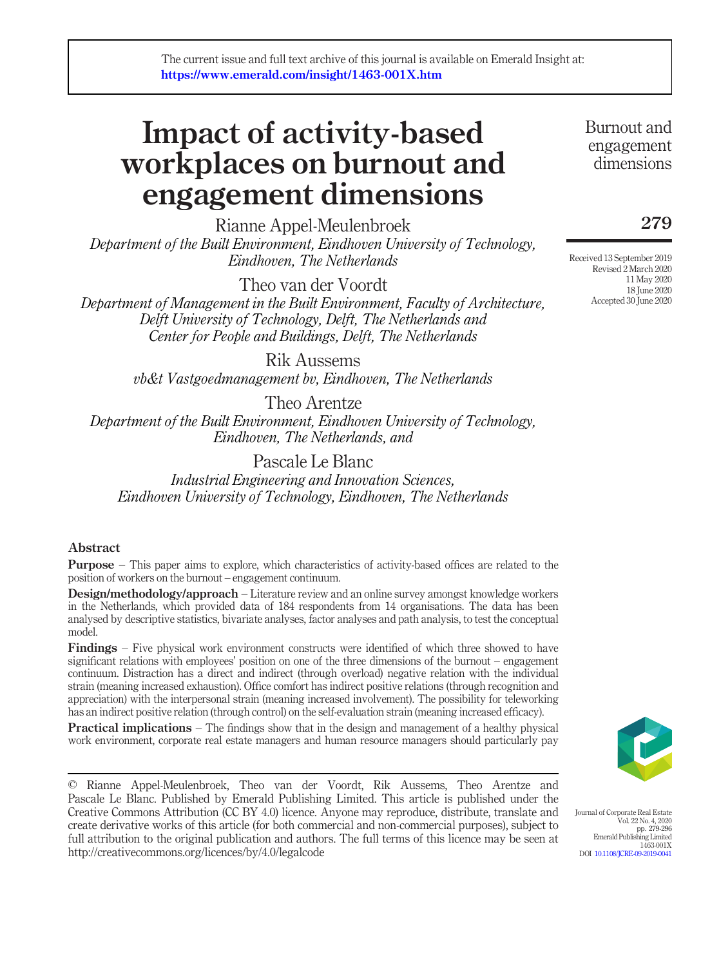# Impact of activity-based workplaces on burnout and engagement dimensions

Rianne Appel-Meulenbroek Department of the Built Environment, Eindhoven University of Technology, Eindhoven, The Netherlands

Theo van der Voordt Department of Management in the Built Environment, Faculty of Architecture, Delft University of Technology, Delft, The Netherlands and Center for People and Buildings, Delft, The Netherlands

> Rik Aussems vb&t Vastgoedmanagement bv, Eindhoven, The Netherlands

Theo Arentze Department of the Built Environment, Eindhoven University of Technology, Eindhoven, The Netherlands, and

Pascale Le Blanc

Industrial Engineering and Innovation Sciences, Eindhoven University of Technology, Eindhoven, The Netherlands

# Abstract

**Purpose** – This paper aims to explore, which characteristics of activity-based offices are related to the position of workers on the burnout – engagement continuum.

Design/methodology/approach – Literature review and an online survey amongst knowledge workers in the Netherlands, which provided data of 184 respondents from 14 organisations. The data has been analysed by descriptive statistics, bivariate analyses, factor analyses and path analysis, to test the conceptual model.

Findings – Five physical work environment constructs were identified of which three showed to have significant relations with employees' position on one of the three dimensions of the burnout – engagement continuum. Distraction has a direct and indirect (through overload) negative relation with the individual strain (meaning increased exhaustion). Office comfort has indirect positive relations (through recognition and appreciation) with the interpersonal strain (meaning increased involvement). The possibility for teleworking has an indirect positive relation (through control) on the self-evaluation strain (meaning increased efficacy).

**Practical implications** – The findings show that in the design and management of a healthy physical work environment, corporate real estate managers and human resource managers should particularly pay

© Rianne Appel-Meulenbroek, Theo van der Voordt, Rik Aussems, Theo Arentze and Pascale Le Blanc. Published by Emerald Publishing Limited. This article is published under the Creative Commons Attribution (CC BY 4.0) licence. Anyone may reproduce, distribute, translate and create derivative works of this article (for both commercial and non-commercial purposes), subject to full attribution to the original publication and authors. The full terms of this licence may be seen at http://creativecommons.org/licences/by/4.0/legalcode

Burnout and engagement dimensions

# 279

Received 13 September 2019 Revised 2 March 2020 11 May 2020 18 June 2020 Accepted 30 June 2020



Journal of Corporate Real Estate Vol. 22 No. 4, 2020 pp. 279-296 Emerald Publishing Limited 1463-001X DOI [10.1108/JCRE-09-2019-0041](http://dx.doi.org/10.1108/JCRE-09-2019-0041)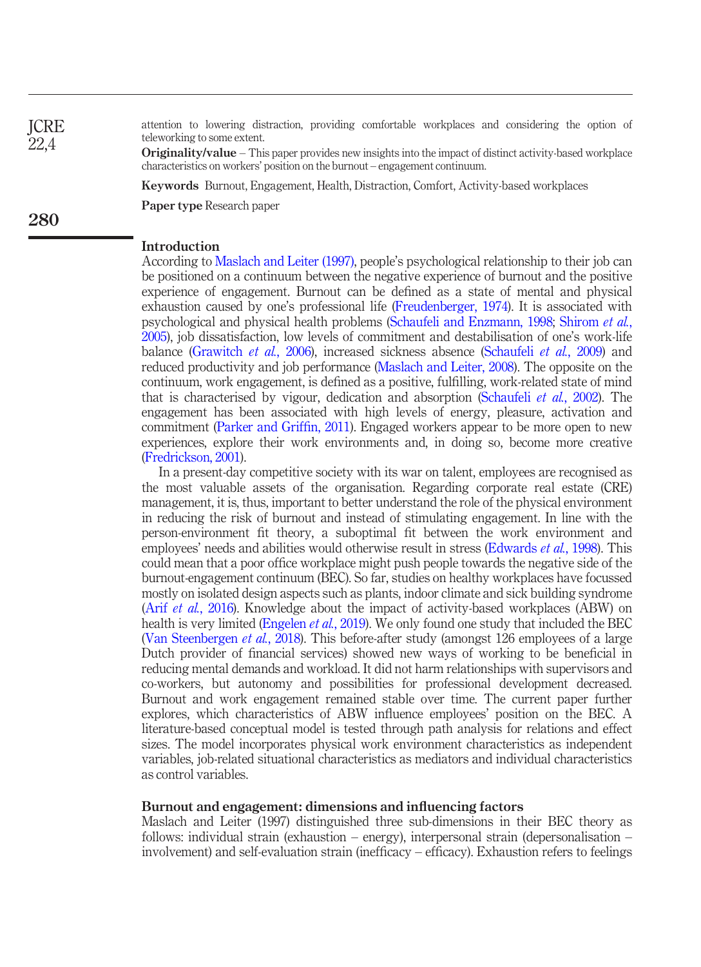attention to lowering distraction, providing comfortable workplaces and considering the option of teleworking to some extent.

Originality/value – This paper provides new insights into the impact of distinct activity-based workplace characteristics on workers' position on the burnout – engagement continuum.

Keywords Burnout, Engagement, Health, Distraction, Comfort, Activity-based workplaces

Paper type Research paper

# Introduction

According to [Maslach and Leiter \(1997\)](#page-16-0), people's psychological relationship to their job can be positioned on a continuum between the negative experience of burnout and the positive experience of engagement. Burnout can be defined as a state of mental and physical exhaustion caused by one's professional life [\(Freudenberger, 1974](#page-15-0)). It is associated with psychological and physical health problems ([Schaufeli and Enzmann, 1998](#page-17-0); [Shirom](#page-17-1) et al., [2005](#page-17-1)), job dissatisfaction, low levels of commitment and destabilisation of one's work-life balance ([Grawitch](#page-15-1) et al., 2006), increased sickness absence [\(Schaufeli](#page-17-2) et al., 2009) and reduced productivity and job performance [\(Maslach and Leiter, 2008\)](#page-16-1). The opposite on the continuum, work engagement, is defined as a positive, fulfilling, work-related state of mind that is characterised by vigour, dedication and absorption ([Schaufeli](#page-17-3) et al., 2002). The engagement has been associated with high levels of energy, pleasure, activation and commitment ([Parker and Grif](#page-16-2)fin, 2011). Engaged workers appear to be more open to new experiences, explore their work environments and, in doing so, become more creative [\(Fredrickson, 2001](#page-15-2)).

In a present-day competitive society with its war on talent, employees are recognised as the most valuable assets of the organisation. Regarding corporate real estate (CRE) management, it is, thus, important to better understand the role of the physical environment in reducing the risk of burnout and instead of stimulating engagement. In line with the person-environment fit theory, a suboptimal fit between the work environment and employees' needs and abilities would otherwise result in stress ([Edwards](#page-14-0) *et al.*, 1998). This could mean that a poor office workplace might push people towards the negative side of the burnout-engagement continuum (BEC). So far, studies on healthy workplaces have focussed mostly on isolated design aspects such as plants, indoor climate and sick building syndrome (Arif et al.[, 2016](#page-14-1)). Knowledge about the impact of activity-based workplaces (ABW) on health is very limited ([Engelen](#page-15-3) *et al.*, 2019). We only found one study that included the BEC [\(Van Steenbergen](#page-17-4) et al., 2018). This before-after study (amongst 126 employees of a large Dutch provider of financial services) showed new ways of working to be beneficial in reducing mental demands and workload. It did not harm relationships with supervisors and co-workers, but autonomy and possibilities for professional development decreased. Burnout and work engagement remained stable over time. The current paper further explores, which characteristics of ABW influence employees' position on the BEC. A literature-based conceptual model is tested through path analysis for relations and effect sizes. The model incorporates physical work environment characteristics as independent variables, job-related situational characteristics as mediators and individual characteristics as control variables.

# Burnout and engagement: dimensions and influencing factors

Maslach and Leiter (1997) distinguished three sub-dimensions in their BEC theory as follows: individual strain (exhaustion – energy), interpersonal strain (depersonalisation – involvement) and self-evaluation strain (inefficacy – efficacy). Exhaustion refers to feelings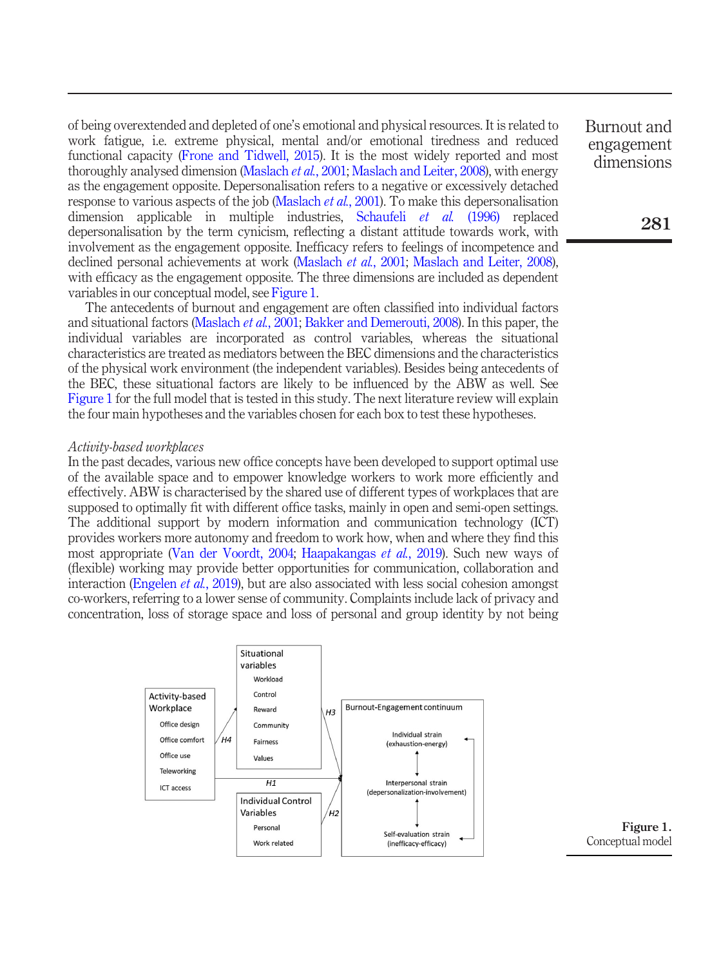of being overextended and depleted of one's emotional and physical resources. It is related to work fatigue, i.e. extreme physical, mental and/or emotional tiredness and reduced functional capacity [\(Frone and Tidwell, 2015\)](#page-15-4). It is the most widely reported and most thoroughly analysed dimension [\(Maslach](#page-16-3) *et al.*, 2001; [Maslach and Leiter, 2008\)](#page-16-1), with energy as the engagement opposite. Depersonalisation refers to a negative or excessively detached response to various aspects of the job [\(Maslach](#page-16-3) et al., 2001). To make this depersonalisation dimension applicable in multiple industries, [Schaufeli](#page-17-5) et al. (1996) replaced depersonalisation by the term cynicism, reflecting a distant attitude towards work, with involvement as the engagement opposite. Inefficacy refers to feelings of incompetence and declined personal achievements at work [\(Maslach](#page-16-3) *et al.*, 2001; [Maslach and Leiter, 2008\)](#page-16-1), with efficacy as the engagement opposite. The three dimensions are included as dependent variables in our conceptual model, see [Figure 1.](#page-2-0)

The antecedents of burnout and engagement are often classified into individual factors and situational factors [\(Maslach](#page-16-3) *et al.,* 2001; [Bakker and Demerouti, 2008](#page-14-2)). In this paper, the individual variables are incorporated as control variables, whereas the situational characteristics are treated as mediators between the BEC dimensions and the characteristics of the physical work environment (the independent variables). Besides being antecedents of the BEC, these situational factors are likely to be influenced by the ABW as well. See [Figure 1](#page-2-0) for the full model that is tested in this study. The next literature review will explain the four main hypotheses and the variables chosen for each box to test these hypotheses.

#### Activity-based workplaces

In the past decades, various new office concepts have been developed to support optimal use of the available space and to empower knowledge workers to work more efficiently and effectively. ABW is characterised by the shared use of different types of workplaces that are supposed to optimally fit with different office tasks, mainly in open and semi-open settings. The additional support by modern information and communication technology (ICT) provides workers more autonomy and freedom to work how, when and where they find this most appropriate ([Van der Voordt, 2004;](#page-17-6) [Haapakangas](#page-15-5) et al., 2019). Such new ways of (flexible) working may provide better opportunities for communication, collaboration and interaction ([Engelen](#page-15-3) *et al.*, 2019), but are also associated with less social cohesion amongst co-workers, referring to a lower sense of community. Complaints include lack of privacy and concentration, loss of storage space and loss of personal and group identity by not being



<span id="page-2-0"></span>Figure 1. Conceptual model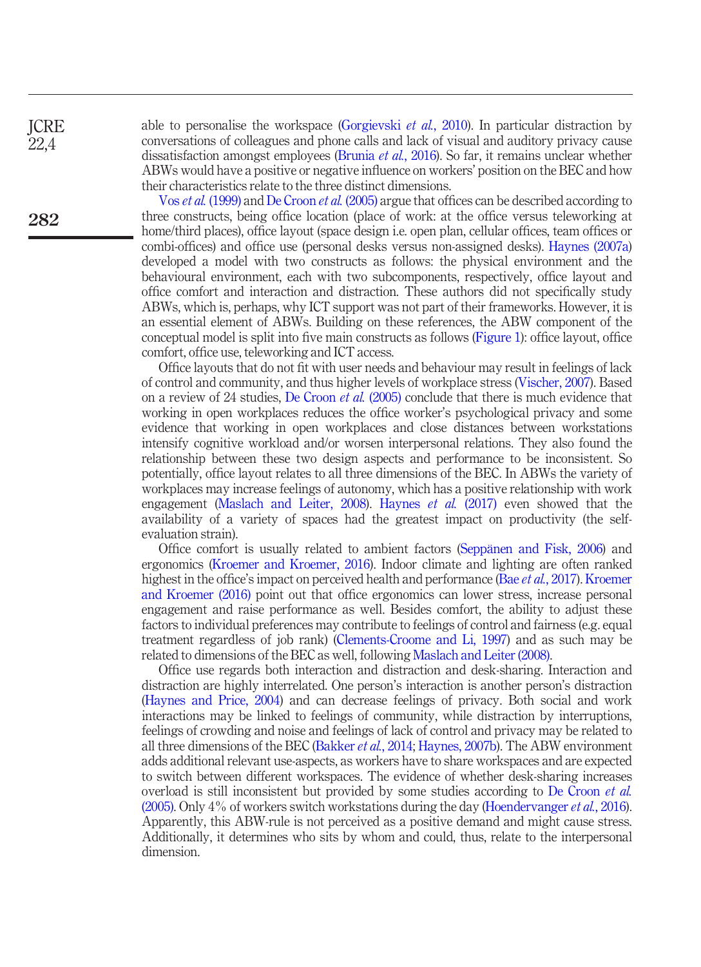able to personalise the workspace [\(Gorgievski](#page-15-6) *et al.*, 2010). In particular distraction by conversations of colleagues and phone calls and lack of visual and auditory privacy cause dissatisfaction amongst employees ([Brunia](#page-14-3) et al., 2016). So far, it remains unclear whether ABWs would have a positive or negative influence on workers' position on the BEC and how their characteristics relate to the three distinct dimensions.

Vos et al. [\(1999\)](#page-17-7) and [De Croon](#page-14-4) et al. (2005) argue that offices can be described according to three constructs, being office location (place of work: at the office versus teleworking at home/third places), office layout (space design i.e. open plan, cellular offices, team offices or combi-offices) and office use (personal desks versus non-assigned desks). [Haynes \(2007a\)](#page-15-7) developed a model with two constructs as follows: the physical environment and the behavioural environment, each with two subcomponents, respectively, office layout and office comfort and interaction and distraction. These authors did not specifically study ABWs, which is, perhaps, why ICT support was not part of their frameworks. However, it is an essential element of ABWs. Building on these references, the ABW component of the conceptual model is split into five main constructs as follows ([Figure 1\)](#page-2-0): office layout, office comfort, office use, teleworking and ICT access.

Office layouts that do not fit with user needs and behaviour may result in feelings of lack of control and community, and thus higher levels of workplace stress ([Vischer, 2007](#page-17-8)). Based on a review of 24 studies, [De Croon](#page-14-4) et al. (2005) conclude that there is much evidence that working in open workplaces reduces the office worker's psychological privacy and some evidence that working in open workplaces and close distances between workstations intensify cognitive workload and/or worsen interpersonal relations. They also found the relationship between these two design aspects and performance to be inconsistent. So potentially, office layout relates to all three dimensions of the BEC. In ABWs the variety of workplaces may increase feelings of autonomy, which has a positive relationship with work engagement ([Maslach and Leiter, 2008\)](#page-16-1). [Haynes](#page-15-8) et al. (2017) even showed that the availability of a variety of spaces had the greatest impact on productivity (the selfevaluation strain).

Office comfort is usually related to ambient factors [\(Seppänen and Fisk, 2006](#page-17-9)) and ergonomics ([Kroemer and Kroemer, 2016](#page-15-9)). Indoor climate and lighting are often ranked highest in the office's impact on perceived health and performance (Bae et al.[, 2017\)](#page-14-5). [Kroemer](#page-15-9) [and Kroemer \(2016\)](#page-15-9) point out that office ergonomics can lower stress, increase personal engagement and raise performance as well. Besides comfort, the ability to adjust these factors to individual preferences may contribute to feelings of control and fairness (e.g. equal treatment regardless of job rank) [\(Clements-Croome and Li, 1997\)](#page-14-6) and as such may be related to dimensions of the BEC as well, following [Maslach and Leiter \(2008\)](#page-16-1).

Office use regards both interaction and distraction and desk-sharing. Interaction and distraction are highly interrelated. One person's interaction is another person's distraction [\(Haynes and Price, 2004\)](#page-15-10) and can decrease feelings of privacy. Both social and work interactions may be linked to feelings of community, while distraction by interruptions, feelings of crowding and noise and feelings of lack of control and privacy may be related to all three dimensions of the BEC [\(Bakker](#page-14-7) et al., 2014; [Haynes, 2007b\)](#page-15-11). The ABW environment adds additional relevant use-aspects, as workers have to share workspaces and are expected to switch between different workspaces. The evidence of whether desk-sharing increases overload is still inconsistent but provided by some studies according to [De Croon](#page-14-4) et al. [\(2005\)](#page-14-4). Only  $4\%$  of workers switch workstations during the day ([Hoendervanger](#page-15-12) *et al.*, 2016). Apparently, this ABW-rule is not perceived as a positive demand and might cause stress. Additionally, it determines who sits by whom and could, thus, relate to the interpersonal dimension.

282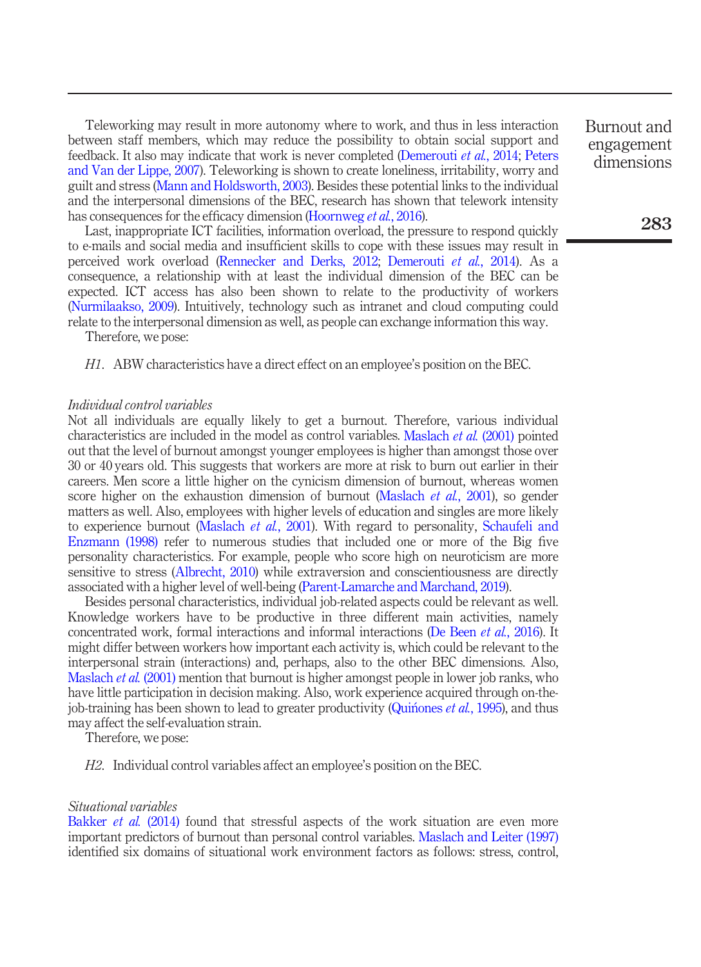Teleworking may result in more autonomy where to work, and thus in less interaction between staff members, which may reduce the possibility to obtain social support and feedback. It also may indicate that work is never completed [\(Demerouti](#page-14-8) et al., 2014; [Peters](#page-16-4) [and Van der Lippe, 2007\)](#page-16-4). Teleworking is shown to create loneliness, irritability, worry and guilt and stress [\(Mann and Holdsworth, 2003\)](#page-16-5). Besides these potential links to the individual and the interpersonal dimensions of the BEC, research has shown that telework intensity has consequences for the efficacy dimension [\(Hoornweg](#page-15-13) et al., 2016).

Last, inappropriate ICT facilities, information overload, the pressure to respond quickly to e-mails and social media and insufficient skills to cope with these issues may result in perceived work overload [\(Rennecker and Derks, 2012](#page-16-6); [Demerouti](#page-14-8) et al., 2014). As a consequence, a relationship with at least the individual dimension of the BEC can be expected. ICT access has also been shown to relate to the productivity of workers [\(Nurmilaakso, 2009](#page-16-7)). Intuitively, technology such as intranet and cloud computing could relate to the interpersonal dimension as well, as people can exchange information this way.

Therefore, we pose:

H1. ABW characteristics have a direct effect on an employee's position on the BEC.

#### Individual control variables

Not all individuals are equally likely to get a burnout. Therefore, various individual characteristics are included in the model as control variables. [Maslach](#page-16-3) et al. (2001) pointed out that the level of burnout amongst younger employees is higher than amongst those over 30 or 40 years old. This suggests that workers are more at risk to burn out earlier in their careers. Men score a little higher on the cynicism dimension of burnout, whereas women score higher on the exhaustion dimension of burnout [\(Maslach](#page-16-3) *et al.*, 2001), so gender matters as well. Also, employees with higher levels of education and singles are more likely to experience burnout [\(Maslach](#page-16-3) *et al.*, 2001). With regard to personality, [Schaufeli and](#page-17-0) [Enzmann \(1998\)](#page-17-0) refer to numerous studies that included one or more of the Big five personality characteristics. For example, people who score high on neuroticism are more sensitive to stress [\(Albrecht, 2010\)](#page-13-0) while extraversion and conscientiousness are directly associated with a higher level of well-being ([Parent-Lamarche and Marchand, 2019\)](#page-16-8).

Besides personal characteristics, individual job-related aspects could be relevant as well. Knowledge workers have to be productive in three different main activities, namely concentrated work, formal interactions and informal interactions [\(De Been](#page-14-9) et al., 2016). It might differ between workers how important each activity is, which could be relevant to the interpersonal strain (interactions) and, perhaps, also to the other BEC dimensions. Also, [Maslach](#page-16-3) *et al.* (2001) mention that burnout is higher amongst people in lower job ranks, who have little participation in decision making. Also, work experience acquired through on-the-job-training has been shown to lead to greater productivity ([Quinones](#page-16-9)  $et al., 1995$ ), and thus may affect the self-evaluation strain.

Therefore, we pose:

H2. Individual control variables affect an employee's position on the BEC.

### Situational variables

[Bakker](#page-14-7) *et al.* (2014) found that stressful aspects of the work situation are even more important predictors of burnout than personal control variables. [Maslach and Leiter \(1997\)](#page-16-0) identified six domains of situational work environment factors as follows: stress, control, Burnout and engagement dimensions

283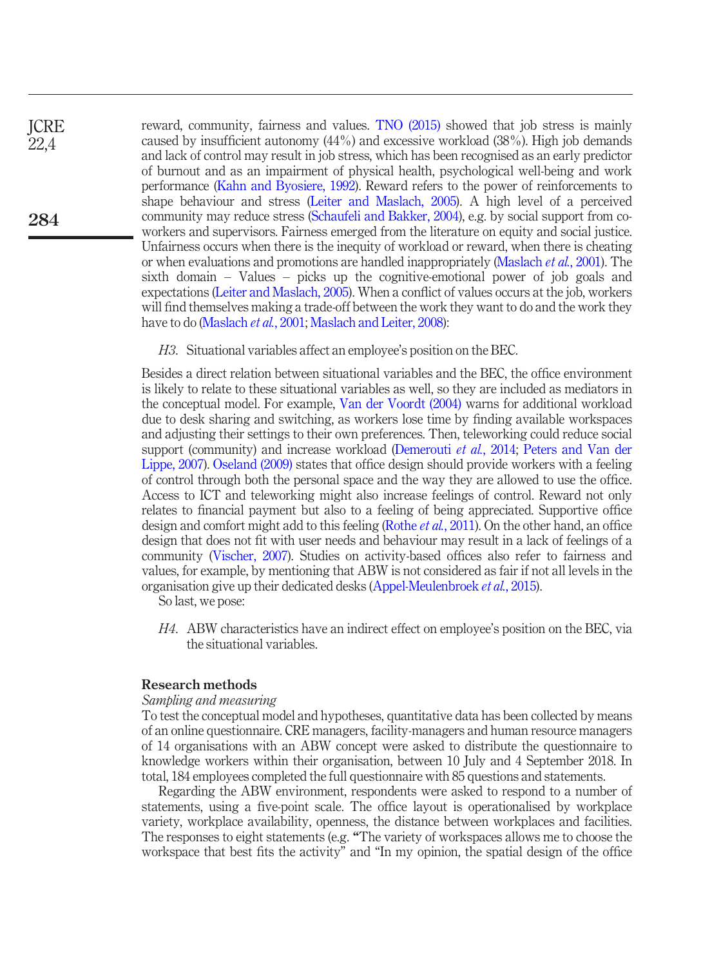reward, community, fairness and values. [TNO \(2015\)](#page-17-10) showed that job stress is mainly caused by insufficient autonomy (44%) and excessive workload (38%). High job demands and lack of control may result in job stress, which has been recognised as an early predictor of burnout and as an impairment of physical health, psychological well-being and work performance ([Kahn and Byosiere, 1992\)](#page-15-14). Reward refers to the power of reinforcements to shape behaviour and stress ([Leiter and Maslach, 2005](#page-16-10)). A high level of a perceived community may reduce stress [\(Schaufeli and Bakker, 2004\)](#page-16-11), e.g. by social support from coworkers and supervisors. Fairness emerged from the literature on equity and social justice. Unfairness occurs when there is the inequity of workload or reward, when there is cheating or when evaluations and promotions are handled inappropriately [\(Maslach](#page-16-3) et al., 2001). The sixth domain – Values – picks up the cognitive-emotional power of job goals and expectations ([Leiter and Maslach, 2005](#page-16-10)). When a conflict of values occurs at the job, workers will find themselves making a trade-off between the work they want to do and the work they have to do ([Maslach](#page-16-3) *et al.*, 2001; [Maslach and Leiter, 2008\)](#page-16-1):

H3. Situational variables affect an employee's position on the BEC.

Besides a direct relation between situational variables and the BEC, the office environment is likely to relate to these situational variables as well, so they are included as mediators in the conceptual model. For example, [Van der Voordt \(2004\)](#page-17-6) warns for additional workload due to desk sharing and switching, as workers lose time by finding available workspaces and adjusting their settings to their own preferences. Then, teleworking could reduce social support (community) and increase workload [\(Demerouti](#page-14-8) et al., 2014; [Peters and Van der](#page-16-4) [Lippe, 2007](#page-16-4)). [Oseland \(2009\)](#page-16-12) states that office design should provide workers with a feeling of control through both the personal space and the way they are allowed to use the office. Access to ICT and teleworking might also increase feelings of control. Reward not only relates to financial payment but also to a feeling of being appreciated. Supportive office design and comfort might add to this feeling [\(Rothe](#page-16-13) *et al.*, 2011). On the other hand, an office design that does not fit with user needs and behaviour may result in a lack of feelings of a community ([Vischer, 2007](#page-17-8)). Studies on activity-based offices also refer to fairness and values, for example, by mentioning that ABW is not considered as fair if not all levels in the organisation give up their dedicated desks [\(Appel-Meulenbroek](#page-14-10) et al., 2015).

So last, we pose:

**ICRE** 22,4

284

H4. ABW characteristics have an indirect effect on employee's position on the BEC, via the situational variables.

# Research methods

# Sampling and measuring

To test the conceptual model and hypotheses, quantitative data has been collected by means of an online questionnaire. CRE managers, facility-managers and human resource managers of 14 organisations with an ABW concept were asked to distribute the questionnaire to knowledge workers within their organisation, between 10 July and 4 September 2018. In total, 184 employees completed the full questionnaire with 85 questions and statements.

Regarding the ABW environment, respondents were asked to respond to a number of statements, using a five-point scale. The office layout is operationalised by workplace variety, workplace availability, openness, the distance between workplaces and facilities. The responses to eight statements (e.g. "The variety of workspaces allows me to choose the workspace that best fits the activity" and "In my opinion, the spatial design of the office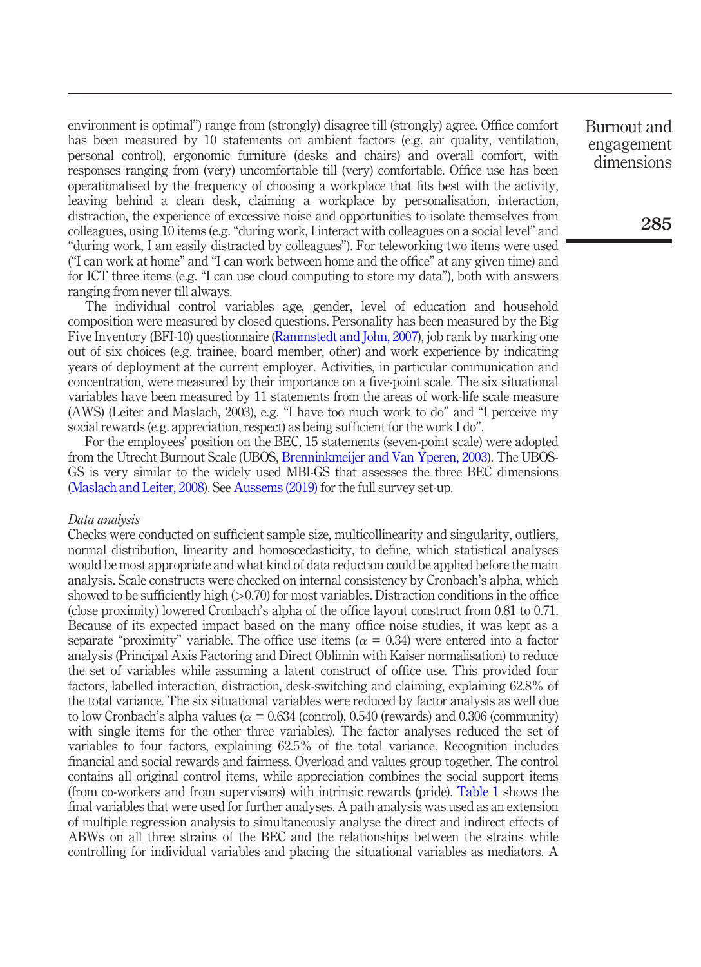environment is optimal") range from (strongly) disagree till (strongly) agree. Office comfort has been measured by 10 statements on ambient factors (e.g. air quality, ventilation, personal control), ergonomic furniture (desks and chairs) and overall comfort, with responses ranging from (very) uncomfortable till (very) comfortable. Office use has been operationalised by the frequency of choosing a workplace that fits best with the activity, leaving behind a clean desk, claiming a workplace by personalisation, interaction, distraction, the experience of excessive noise and opportunities to isolate themselves from colleagues, using 10 items (e.g. "during work, I interact with colleagues on a social level" and "during work, I am easily distracted by colleagues"). For teleworking two items were used ("I can work at home" and "I can work between home and the office" at any given time) and for ICT three items (e.g. "I can use cloud computing to store my data"), both with answers ranging from never till always.

The individual control variables age, gender, level of education and household composition were measured by closed questions. Personality has been measured by the Big Five Inventory (BFI-10) questionnaire ([Rammstedt and John, 2007](#page-16-14)), job rank by marking one out of six choices (e.g. trainee, board member, other) and work experience by indicating years of deployment at the current employer. Activities, in particular communication and concentration, were measured by their importance on a five-point scale. The six situational variables have been measured by 11 statements from the areas of work-life scale measure (AWS) (Leiter and Maslach, 2003), e.g. "I have too much work to do" and "I perceive my social rewards (e.g. appreciation, respect) as being sufficient for the work I do".

For the employees' position on the BEC, 15 statements (seven-point scale) were adopted from the Utrecht Burnout Scale (UBOS, [Brenninkmeijer and Van Yperen, 2003](#page-14-11)). The UBOS-GS is very similar to the widely used MBI-GS that assesses the three BEC dimensions [\(Maslach and Leiter, 2008\)](#page-16-1). See [Aussems \(2019\)](#page-14-12) for the full survey set-up.

#### Data analysis

Checks were conducted on sufficient sample size, multicollinearity and singularity, outliers, normal distribution, linearity and homoscedasticity, to define, which statistical analyses would be most appropriate and what kind of data reduction could be applied before the main analysis. Scale constructs were checked on internal consistency by Cronbach's alpha, which showed to be sufficiently high  $(>0.70)$  for most variables. Distraction conditions in the office (close proximity) lowered Cronbach's alpha of the office layout construct from 0.81 to 0.71. Because of its expected impact based on the many office noise studies, it was kept as a separate "proximity" variable. The office use items ( $\alpha = 0.34$ ) were entered into a factor analysis (Principal Axis Factoring and Direct Oblimin with Kaiser normalisation) to reduce the set of variables while assuming a latent construct of office use. This provided four factors, labelled interaction, distraction, desk-switching and claiming, explaining 62.8% of the total variance. The six situational variables were reduced by factor analysis as well due to low Cronbach's alpha values ( $\alpha$  = 0.634 (control), 0.540 (rewards) and 0.306 (community) with single items for the other three variables). The factor analyses reduced the set of variables to four factors, explaining 62.5% of the total variance. Recognition includes financial and social rewards and fairness. Overload and values group together. The control contains all original control items, while appreciation combines the social support items (from co-workers and from supervisors) with intrinsic rewards (pride). [Table 1](#page-7-0) shows the final variables that were used for further analyses. A path analysis was used as an extension of multiple regression analysis to simultaneously analyse the direct and indirect effects of ABWs on all three strains of the BEC and the relationships between the strains while controlling for individual variables and placing the situational variables as mediators. A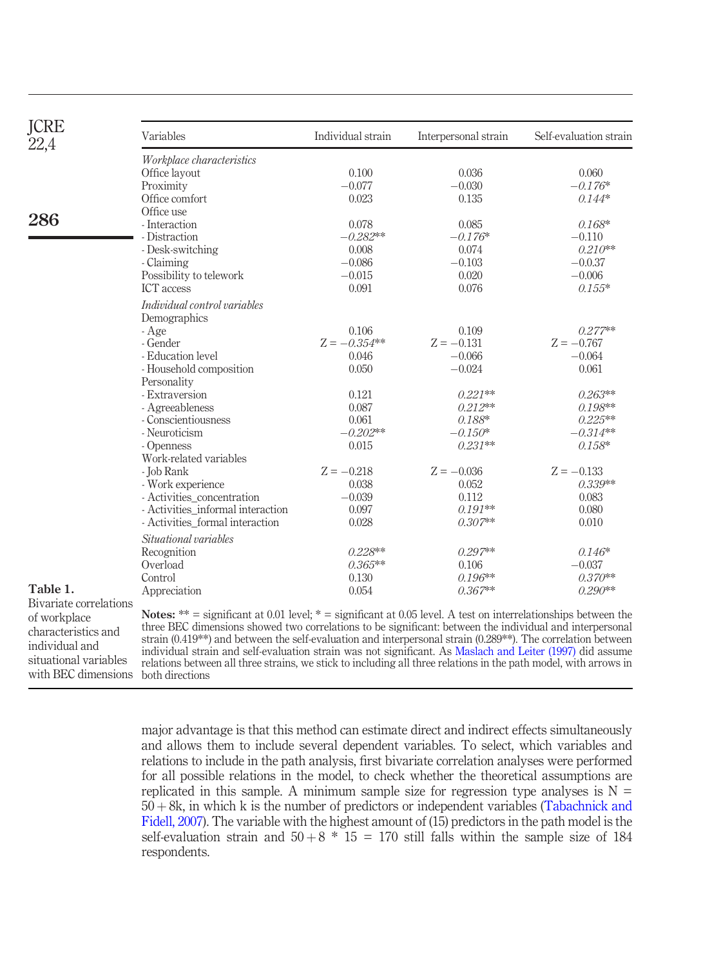| <b>JCRE</b><br>22,4                                                            | Variables                                                                                                                                                                                                                                                                                                                                                                                                                                                                                                                                                                                                  | Individual strain | Interpersonal strain | Self-evaluation strain |  |  |
|--------------------------------------------------------------------------------|------------------------------------------------------------------------------------------------------------------------------------------------------------------------------------------------------------------------------------------------------------------------------------------------------------------------------------------------------------------------------------------------------------------------------------------------------------------------------------------------------------------------------------------------------------------------------------------------------------|-------------------|----------------------|------------------------|--|--|
|                                                                                | Workplace characteristics                                                                                                                                                                                                                                                                                                                                                                                                                                                                                                                                                                                  |                   |                      |                        |  |  |
|                                                                                | Office layout                                                                                                                                                                                                                                                                                                                                                                                                                                                                                                                                                                                              | 0.100             | 0.036                | 0.060                  |  |  |
|                                                                                | Proximity                                                                                                                                                                                                                                                                                                                                                                                                                                                                                                                                                                                                  | $-0.077$          | $-0.030$             | $-0.176*$              |  |  |
|                                                                                | Office comfort                                                                                                                                                                                                                                                                                                                                                                                                                                                                                                                                                                                             | 0.023             | 0.135                | $0.144*$               |  |  |
|                                                                                | Office use                                                                                                                                                                                                                                                                                                                                                                                                                                                                                                                                                                                                 |                   |                      |                        |  |  |
| 286                                                                            | - Interaction                                                                                                                                                                                                                                                                                                                                                                                                                                                                                                                                                                                              | 0.078             | 0.085                | $0.168*$               |  |  |
|                                                                                | - Distraction                                                                                                                                                                                                                                                                                                                                                                                                                                                                                                                                                                                              | $-0.282**$        | $-0.176*$            | $-0.110$               |  |  |
|                                                                                | - Desk-switching                                                                                                                                                                                                                                                                                                                                                                                                                                                                                                                                                                                           | 0.008             | 0.074                | $0.210**$              |  |  |
|                                                                                | - Claiming                                                                                                                                                                                                                                                                                                                                                                                                                                                                                                                                                                                                 | $-0.086$          | $-0.103$             | $-0.0.37$              |  |  |
|                                                                                | Possibility to telework                                                                                                                                                                                                                                                                                                                                                                                                                                                                                                                                                                                    | $-0.015$          | 0.020                | $-0.006$               |  |  |
|                                                                                | <b>ICT</b> access                                                                                                                                                                                                                                                                                                                                                                                                                                                                                                                                                                                          | 0.091             | 0.076                | $0.155*$               |  |  |
|                                                                                | Individual control variables                                                                                                                                                                                                                                                                                                                                                                                                                                                                                                                                                                               |                   |                      |                        |  |  |
|                                                                                | Demographics<br>- Age                                                                                                                                                                                                                                                                                                                                                                                                                                                                                                                                                                                      | 0.106             | 0.109                | $0.277**$              |  |  |
|                                                                                | - Gender                                                                                                                                                                                                                                                                                                                                                                                                                                                                                                                                                                                                   | $Z = -0.354**$    | $Z = -0.131$         | $Z = -0.767$           |  |  |
|                                                                                | - Education level                                                                                                                                                                                                                                                                                                                                                                                                                                                                                                                                                                                          | 0.046             | $-0.066$             | $-0.064$               |  |  |
|                                                                                | - Household composition                                                                                                                                                                                                                                                                                                                                                                                                                                                                                                                                                                                    | 0.050             | $-0.024$             | 0.061                  |  |  |
|                                                                                | Personality                                                                                                                                                                                                                                                                                                                                                                                                                                                                                                                                                                                                |                   |                      |                        |  |  |
|                                                                                | - Extraversion                                                                                                                                                                                                                                                                                                                                                                                                                                                                                                                                                                                             | 0.121             | $0.221**$            | $0.263**$              |  |  |
|                                                                                | - Agreeableness                                                                                                                                                                                                                                                                                                                                                                                                                                                                                                                                                                                            | 0.087             | $0.212**$            | $0.198**$              |  |  |
|                                                                                | - Conscientiousness                                                                                                                                                                                                                                                                                                                                                                                                                                                                                                                                                                                        | 0.061             | 0.188*               | $0.225***$             |  |  |
|                                                                                | - Neuroticism                                                                                                                                                                                                                                                                                                                                                                                                                                                                                                                                                                                              | $-0.202**$        | $-0.150*$            | $-0.314**$             |  |  |
|                                                                                | - Openness                                                                                                                                                                                                                                                                                                                                                                                                                                                                                                                                                                                                 | 0.015             | $0.231**$            | $0.158*$               |  |  |
|                                                                                | Work-related variables                                                                                                                                                                                                                                                                                                                                                                                                                                                                                                                                                                                     |                   |                      |                        |  |  |
|                                                                                | - Job Rank                                                                                                                                                                                                                                                                                                                                                                                                                                                                                                                                                                                                 | $Z = -0.218$      | $Z = -0.036$         | $Z = -0.133$           |  |  |
|                                                                                | - Work experience                                                                                                                                                                                                                                                                                                                                                                                                                                                                                                                                                                                          | 0.038             | 0.052                | 0.339**                |  |  |
|                                                                                | - Activities concentration                                                                                                                                                                                                                                                                                                                                                                                                                                                                                                                                                                                 | $-0.039$          | 0.112                | 0.083                  |  |  |
|                                                                                | - Activities_informal interaction                                                                                                                                                                                                                                                                                                                                                                                                                                                                                                                                                                          | 0.097             | $0.191**$            | 0.080                  |  |  |
|                                                                                | - Activities formal interaction                                                                                                                                                                                                                                                                                                                                                                                                                                                                                                                                                                            | 0.028             | $0.307**$            | 0.010                  |  |  |
|                                                                                | Situational variables                                                                                                                                                                                                                                                                                                                                                                                                                                                                                                                                                                                      |                   |                      |                        |  |  |
|                                                                                | Recognition                                                                                                                                                                                                                                                                                                                                                                                                                                                                                                                                                                                                | $0.228**$         | $0.297**$            | $0.146*$               |  |  |
|                                                                                | Overload                                                                                                                                                                                                                                                                                                                                                                                                                                                                                                                                                                                                   | $0.365**$         | 0.106                | $-0.037$               |  |  |
|                                                                                | Control                                                                                                                                                                                                                                                                                                                                                                                                                                                                                                                                                                                                    | 0.130             | $0.196**$            | $0.370**$              |  |  |
| Table 1.                                                                       | Appreciation                                                                                                                                                                                                                                                                                                                                                                                                                                                                                                                                                                                               | 0.054             | $0.367**$            | $0.290**$              |  |  |
| Bivariate correlations                                                         |                                                                                                                                                                                                                                                                                                                                                                                                                                                                                                                                                                                                            |                   |                      |                        |  |  |
| of workplace<br>characteristics and<br>individual and<br>situational variables | <b>Notes:</b> ** = significant at 0.01 level; * = significant at 0.05 level. A test on interrelationships between the<br>three BEC dimensions showed two correlations to be significant: between the individual and interpersonal<br>strain $(0.419**)$ and between the self-evaluation and interpersonal strain $(0.289**)$ . The correlation between<br>individual strain and self-evaluation strain was not significant. As Maslach and Leiter (1997) did assume<br>relations between all three strains, we stick to including all three relations in the path model, with arrows in<br>both directions |                   |                      |                        |  |  |

<span id="page-7-0"></span>major advantage is that this method can estimate direct and indirect effects simultaneously and allows them to include several dependent variables. To select, which variables and relations to include in the path analysis, first bivariate correlation analyses were performed for all possible relations in the model, to check whether the theoretical assumptions are replicated in this sample. A minimum sample size for regression type analyses is  $N =$  $50 + 8k$ , in which k is the number of predictors or independent variables ([Tabachnick and](#page-17-11) [Fidell, 2007\)](#page-17-11). The variable with the highest amount of (15) predictors in the path model is the self-evaluation strain and  $50 + 8 * 15 = 170$  still falls within the sample size of 184 respondents.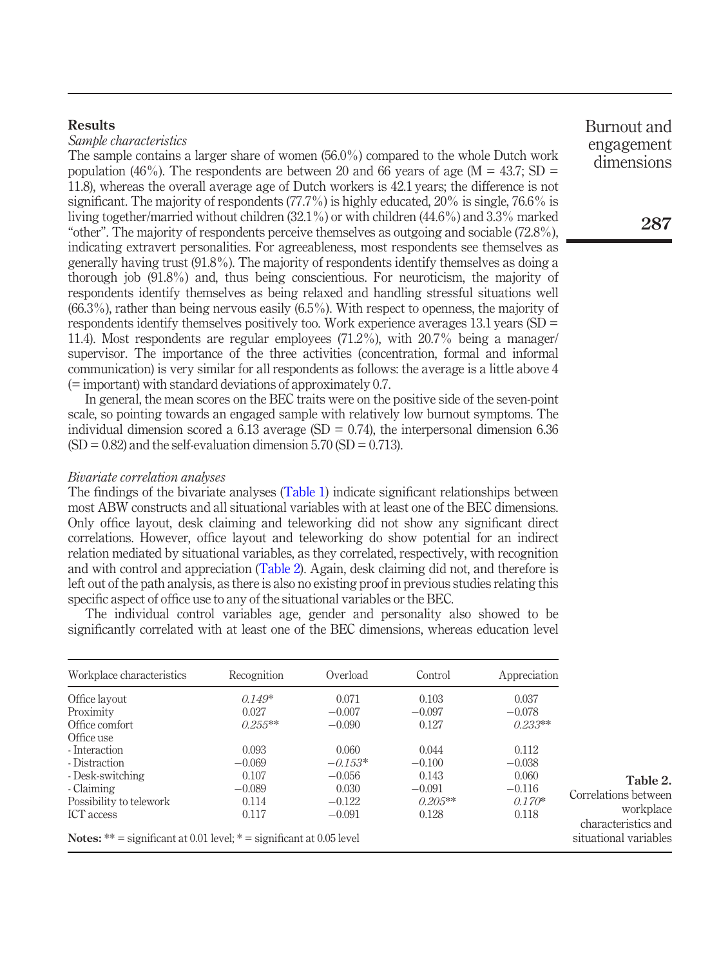# **Results**

# Sample characteristics

The sample contains a larger share of women (56.0%) compared to the whole Dutch work population (46%). The respondents are between 20 and 66 years of age ( $M = 43.7$ ; SD = 11.8), whereas the overall average age of Dutch workers is 42.1 years; the difference is not significant. The majority of respondents (77.7%) is highly educated, 20% is single, 76.6% is living together/married without children (32.1%) or with children (44.6%) and 3.3% marked "other". The majority of respondents perceive themselves as outgoing and sociable (72.8%), indicating extravert personalities. For agreeableness, most respondents see themselves as generally having trust (91.8%). The majority of respondents identify themselves as doing a thorough job (91.8%) and, thus being conscientious. For neuroticism, the majority of respondents identify themselves as being relaxed and handling stressful situations well (66.3%), rather than being nervous easily (6.5%). With respect to openness, the majority of respondents identify themselves positively too. Work experience averages 13.1 years (SD = 11.4). Most respondents are regular employees (71.2%), with 20.7% being a manager/ supervisor. The importance of the three activities (concentration, formal and informal communication) is very similar for all respondents as follows: the average is a little above 4 (= important) with standard deviations of approximately 0.7.

In general, the mean scores on the BEC traits were on the positive side of the seven-point scale, so pointing towards an engaged sample with relatively low burnout symptoms. The individual dimension scored a 6.13 average (SD =  $0.74$ ), the interpersonal dimension 6.36  $(SD = 0.82)$  and the self-evaluation dimension  $5.70$   $(SD = 0.713)$ .

#### Bivariate correlation analyses

The findings of the bivariate analyses ([Table 1](#page-7-0)) indicate significant relationships between most ABW constructs and all situational variables with at least one of the BEC dimensions. Only office layout, desk claiming and teleworking did not show any significant direct correlations. However, office layout and teleworking do show potential for an indirect relation mediated by situational variables, as they correlated, respectively, with recognition and with control and appreciation [\(Table 2](#page-8-0)). Again, desk claiming did not, and therefore is left out of the path analysis, as there is also no existing proof in previous studies relating this specific aspect of office use to any of the situational variables or the BEC.

The individual control variables age, gender and personality also showed to be significantly correlated with at least one of the BEC dimensions, whereas education level

<span id="page-8-0"></span>

| Workplace characteristics                                                   | Recognition                     | Overload                      | Control                    | Appreciation                   |                                  |
|-----------------------------------------------------------------------------|---------------------------------|-------------------------------|----------------------------|--------------------------------|----------------------------------|
| Office layout<br>Proximity<br>Office comfort                                | $0.149*$<br>0.027<br>$0.255***$ | 0.071<br>$-0.007$<br>$-0.090$ | 0.103<br>$-0.097$<br>0.127 | 0.037<br>$-0.078$<br>$0.233**$ |                                  |
| Office use                                                                  |                                 |                               |                            |                                |                                  |
| - Interaction                                                               | 0.093                           | 0.060                         | 0.044                      | 0.112                          |                                  |
| - Distraction                                                               | $-0.069$                        | $-0.153*$                     | $-0.100$                   | $-0.038$                       |                                  |
| - Desk-switching                                                            | 0.107                           | $-0.056$                      | 0.143                      | 0.060                          | Table 2.                         |
| - Claiming                                                                  | $-0.089$                        | 0.030                         | $-0.091$                   | $-0.116$                       |                                  |
| Possibility to telework                                                     | 0.114                           | $-0.122$                      | $0.205***$                 | $0.170*$                       | Correlations between             |
| <b>ICT</b> access                                                           | 0.117                           | $-0.091$                      | 0.128                      | 0.118                          | workplace<br>characteristics and |
| <b>Notes:</b> ** = significant at 0.01 level; * = significant at 0.05 level |                                 |                               |                            |                                | situational variables            |

Burnout and engagement dimensions

287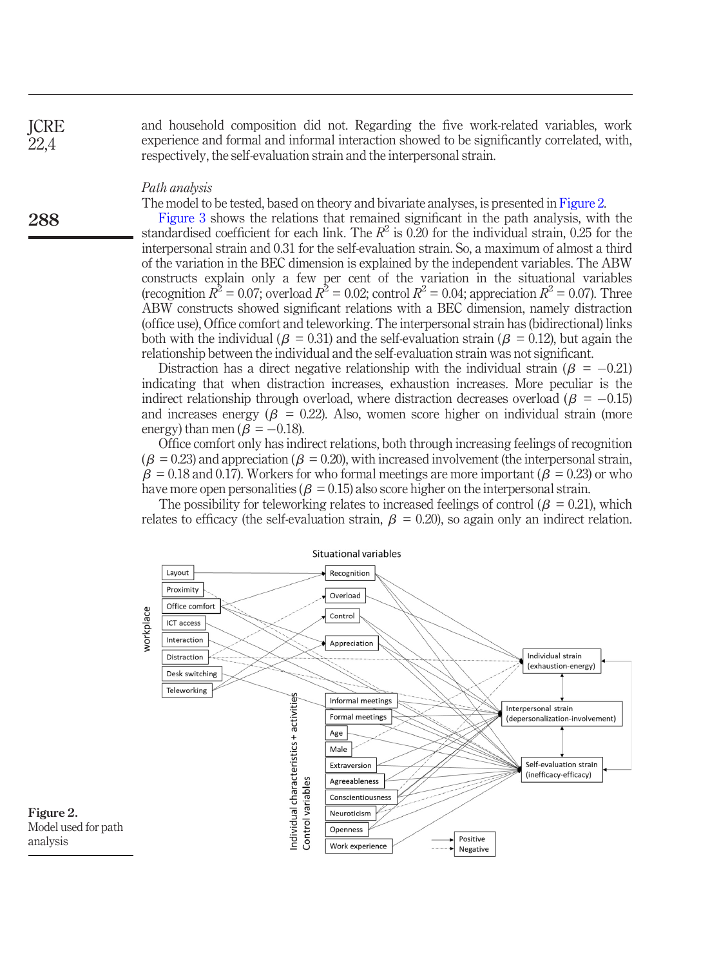and household composition did not. Regarding the five work-related variables, work experience and formal and informal interaction showed to be significantly correlated, with, respectively, the self-evaluation strain and the interpersonal strain.

# Path analysis

The model to be tested, based on theory and bivariate analyses, is presented in [Figure 2](#page-9-0).

[Figure 3](#page-10-0) shows the relations that remained significant in the path analysis, with the standardised coefficient for each link. The  $R^2$  is 0.20 for the individual strain, 0.25 for the interpersonal strain and 0.31 for the self-evaluation strain. So, a maximum of almost a third of the variation in the BEC dimension is explained by the independent variables. The ABW constructs explain only a few per cent of the variation in the situational variables (recognition  $R^2 = 0.07$ ; overload  $R^2 = 0.02$ ; control  $R^2 = 0.04$ ; appreciation  $R^2 = 0.07$ ). Three ABW constructs showed significant relations with a BEC dimension, namely distraction (office use), Office comfort and teleworking. The interpersonal strain has (bidirectional) links both with the individual ( $\beta = 0.31$ ) and the self-evaluation strain ( $\beta = 0.12$ ), but again the relationship between the individual and the self-evaluation strain was not significant.

Distraction has a direct negative relationship with the individual strain ( $\beta = -0.21$ ) indicating that when distraction increases, exhaustion increases. More peculiar is the indirect relationship through overload, where distraction decreases overload ( $\beta$  = -0.15) and increases energy ( $\beta$  = 0.22). Also, women score higher on individual strain (more energy) than men  $(\beta = -0.18)$ .

Office comfort only has indirect relations, both through increasing feelings of recognition  $(\beta = 0.23)$  and appreciation  $(\beta = 0.20)$ , with increased involvement (the interpersonal strain,  $\beta$  = 0.18 and 0.17). Workers for who formal meetings are more important ( $\beta$  = 0.23) or who have more open personalities ( $\beta = 0.15$ ) also score higher on the interpersonal strain.

The possibility for teleworking relates to increased feelings of control  $(\beta = 0.21)$ , which relates to efficacy (the self-evaluation strain,  $\beta = 0.20$ ), so again only an indirect relation.





<span id="page-9-0"></span>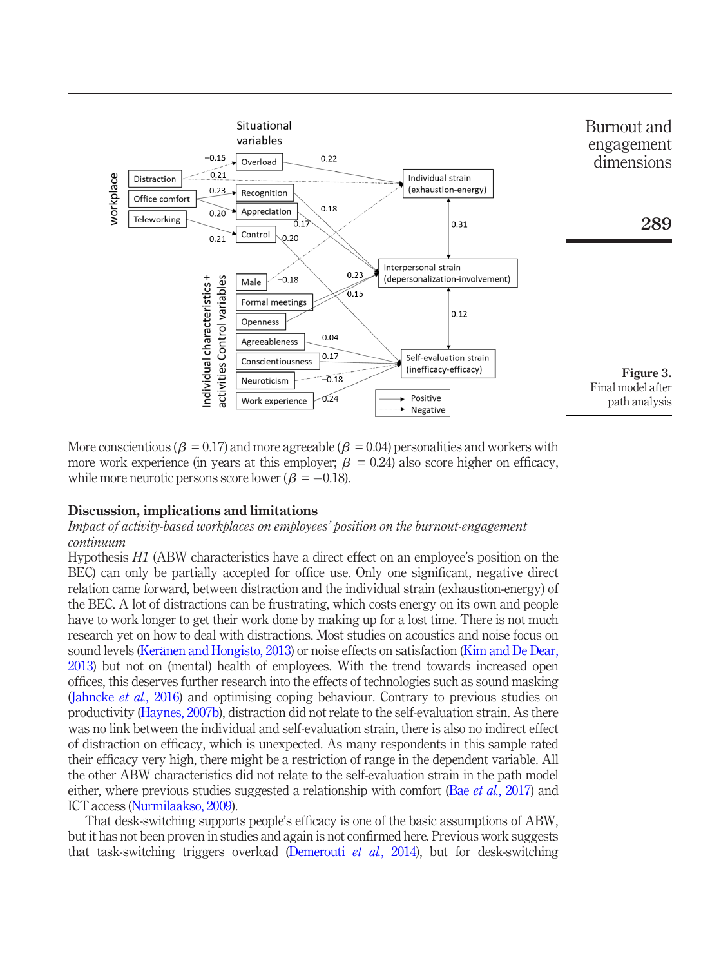

<span id="page-10-0"></span>More conscientious ( $\beta = 0.17$ ) and more agreeable ( $\beta = 0.04$ ) personalities and workers with more work experience (in years at this employer;  $\beta = 0.24$ ) also score higher on efficacy, while more neurotic persons score lower ( $\beta = -0.18$ ).

# Discussion, implications and limitations

Impact of activity-based workplaces on employees' position on the burnout-engagement continuum

Hypothesis H1 (ABW characteristics have a direct effect on an employee's position on the BEC) can only be partially accepted for office use. Only one significant, negative direct relation came forward, between distraction and the individual strain (exhaustion-energy) of the BEC. A lot of distractions can be frustrating, which costs energy on its own and people have to work longer to get their work done by making up for a lost time. There is not much research yet on how to deal with distractions. Most studies on acoustics and noise focus on sound levels ([Keränen and Hongisto, 2013\)](#page-15-15) or noise effects on satisfaction [\(Kim and De Dear,](#page-15-16) [2013\)](#page-15-16) but not on (mental) health of employees. With the trend towards increased open offices, this deserves further research into the effects of technologies such as sound masking [\(Jahncke](#page-15-17) et al., 2016) and optimising coping behaviour. Contrary to previous studies on productivity [\(Haynes, 2007b](#page-15-11)), distraction did not relate to the self-evaluation strain. As there was no link between the individual and self-evaluation strain, there is also no indirect effect of distraction on efficacy, which is unexpected. As many respondents in this sample rated their efficacy very high, there might be a restriction of range in the dependent variable. All the other ABW characteristics did not relate to the self-evaluation strain in the path model either, where previous studies suggested a relationship with comfort (Bae et al.[, 2017\)](#page-14-5) and ICT access ([Nurmilaakso, 2009](#page-16-7)).

That desk-switching supports people's efficacy is one of the basic assumptions of ABW, but it has not been proven in studies and again is not confirmed here. Previous work suggests that task-switching triggers overload ([Demerouti](#page-14-8) *et al.*, 2014), but for desk-switching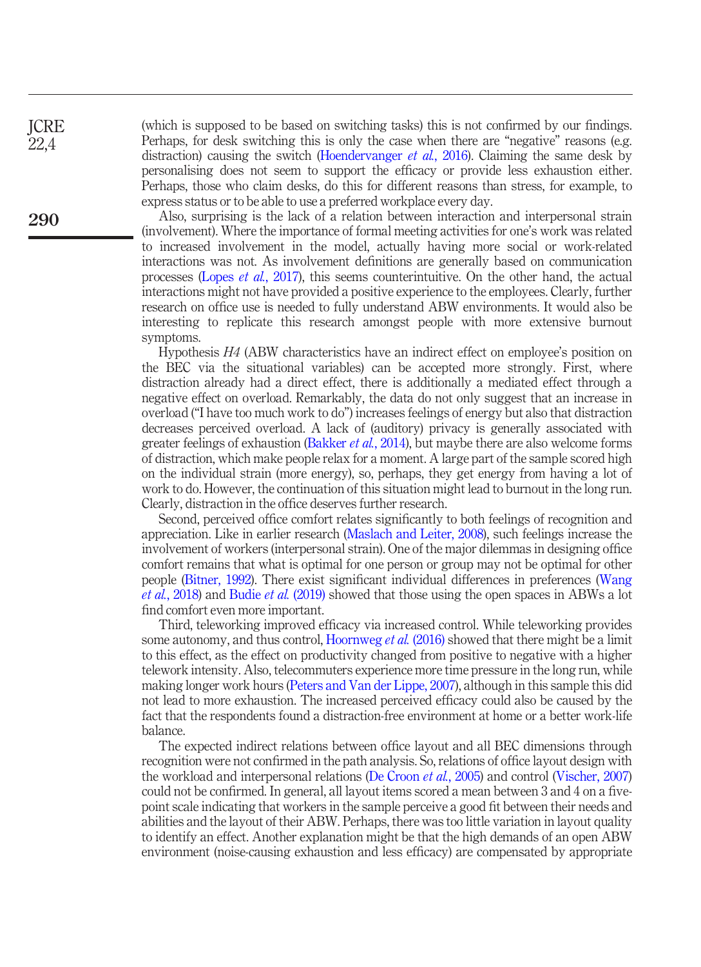(which is supposed to be based on switching tasks) this is not confirmed by our findings. Perhaps, for desk switching this is only the case when there are "negative" reasons (e.g. distraction) causing the switch ([Hoendervanger](#page-15-12) *et al.*, 2016). Claiming the same desk by personalising does not seem to support the efficacy or provide less exhaustion either. Perhaps, those who claim desks, do this for different reasons than stress, for example, to express status or to be able to use a preferred workplace every day.

Also, surprising is the lack of a relation between interaction and interpersonal strain (involvement). Where the importance of formal meeting activities for one's work was related to increased involvement in the model, actually having more social or work-related interactions was not. As involvement definitions are generally based on communication processes (Lopes et al.[, 2017](#page-16-15)), this seems counterintuitive. On the other hand, the actual interactions might not have provided a positive experience to the employees. Clearly, further research on office use is needed to fully understand ABW environments. It would also be interesting to replicate this research amongst people with more extensive burnout symptoms.

Hypothesis H4 (ABW characteristics have an indirect effect on employee's position on the BEC via the situational variables) can be accepted more strongly. First, where distraction already had a direct effect, there is additionally a mediated effect through a negative effect on overload. Remarkably, the data do not only suggest that an increase in overload ("I have too much work to do") increases feelings of energy but also that distraction decreases perceived overload. A lack of (auditory) privacy is generally associated with greater feelings of exhaustion ([Bakker](#page-14-7) et al., 2014), but maybe there are also welcome forms of distraction, which make people relax for a moment. A large part of the sample scored high on the individual strain (more energy), so, perhaps, they get energy from having a lot of work to do. However, the continuation of this situation might lead to burnout in the long run. Clearly, distraction in the office deserves further research.

Second, perceived office comfort relates significantly to both feelings of recognition and appreciation. Like in earlier research [\(Maslach and Leiter, 2008](#page-16-1)), such feelings increase the involvement of workers (interpersonal strain). One of the major dilemmas in designing office comfort remains that what is optimal for one person or group may not be optimal for other people [\(Bitner, 1992\)](#page-14-13). There exist significant individual differences in preferences ([Wang](#page-17-12) et al.[, 2018\)](#page-17-12) and Budie et al. [\(2019\)](#page-14-14) showed that those using the open spaces in ABWs a lot find comfort even more important.

Third, teleworking improved efficacy via increased control. While teleworking provides some autonomy, and thus control, [Hoornweg](#page-15-13) et al.  $(2016)$  showed that there might be a limit to this effect, as the effect on productivity changed from positive to negative with a higher telework intensity. Also, telecommuters experience more time pressure in the long run, while making longer work hours [\(Peters and Van der Lippe, 2007](#page-16-4)), although in this sample this did not lead to more exhaustion. The increased perceived efficacy could also be caused by the fact that the respondents found a distraction-free environment at home or a better work-life balance.

The expected indirect relations between office layout and all BEC dimensions through recognition were not confirmed in the path analysis. So, relations of office layout design with the workload and interpersonal relations ([De Croon](#page-14-4) et al., 2005) and control [\(Vischer, 2007\)](#page-17-8) could not be confirmed. In general, all layout items scored a mean between 3 and 4 on a fivepoint scale indicating that workers in the sample perceive a good fit between their needs and abilities and the layout of their ABW. Perhaps, there was too little variation in layout quality to identify an effect. Another explanation might be that the high demands of an open ABW environment (noise-causing exhaustion and less efficacy) are compensated by appropriate

290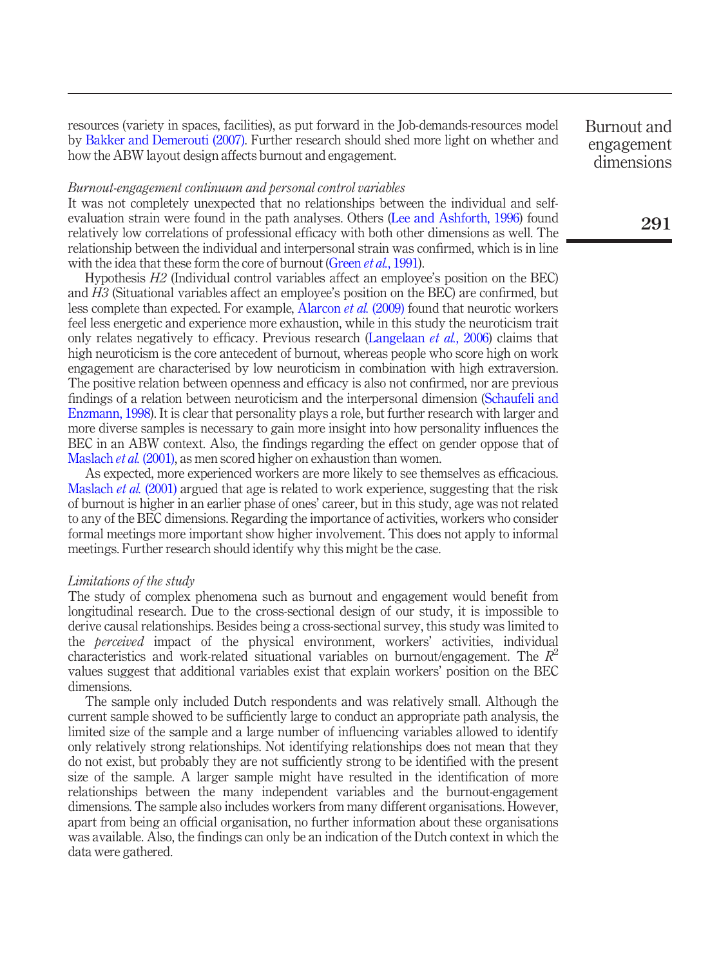resources (variety in spaces, facilities), as put forward in the Job-demands-resources model by [Bakker and Demerouti \(2007\)](#page-14-15). Further research should shed more light on whether and how the ABW layout design affects burnout and engagement.

# Burnout-engagement continuum and personal control variables

It was not completely unexpected that no relationships between the individual and selfevaluation strain were found in the path analyses. Others [\(Lee and Ashforth, 1996\)](#page-16-16) found relatively low correlations of professional efficacy with both other dimensions as well. The relationship between the individual and interpersonal strain was confirmed, which is in line with the idea that these form the core of burnout ([Green](#page-15-18) *et al.*, 1991).

Hypothesis H2 (Individual control variables affect an employee's position on the BEC) and H3 (Situational variables affect an employee's position on the BEC) are confirmed, but less complete than expected. For example, [Alarcon](#page-13-1) et al. (2009) found that neurotic workers feel less energetic and experience more exhaustion, while in this study the neuroticism trait only relates negatively to efficacy. Previous research [\(Langelaan](#page-16-17) et al., 2006) claims that high neuroticism is the core antecedent of burnout, whereas people who score high on work engagement are characterised by low neuroticism in combination with high extraversion. The positive relation between openness and efficacy is also not confirmed, nor are previous findings of a relation between neuroticism and the interpersonal dimension [\(Schaufeli and](#page-17-0) [Enzmann, 1998\)](#page-17-0). It is clear that personality plays a role, but further research with larger and more diverse samples is necessary to gain more insight into how personality influences the BEC in an ABW context. Also, the findings regarding the effect on gender oppose that of [Maslach](#page-16-3) *et al.* (2001), as men scored higher on exhaustion than women.

As expected, more experienced workers are more likely to see themselves as efficacious. [Maslach](#page-16-3) *et al.* (2001) argued that age is related to work experience, suggesting that the risk of burnout is higher in an earlier phase of ones' career, but in this study, age was not related to any of the BEC dimensions. Regarding the importance of activities, workers who consider formal meetings more important show higher involvement. This does not apply to informal meetings. Further research should identify why this might be the case.

#### Limitations of the study

The study of complex phenomena such as burnout and engagement would benefit from longitudinal research. Due to the cross-sectional design of our study, it is impossible to derive causal relationships. Besides being a cross-sectional survey, this study was limited to the perceived impact of the physical environment, workers' activities, individual characteristics and work-related situational variables on burnout/engagement. The  $R^2$ values suggest that additional variables exist that explain workers' position on the BEC dimensions.

The sample only included Dutch respondents and was relatively small. Although the current sample showed to be sufficiently large to conduct an appropriate path analysis, the limited size of the sample and a large number of influencing variables allowed to identify only relatively strong relationships. Not identifying relationships does not mean that they do not exist, but probably they are not sufficiently strong to be identified with the present size of the sample. A larger sample might have resulted in the identification of more relationships between the many independent variables and the burnout-engagement dimensions. The sample also includes workers from many different organisations. However, apart from being an official organisation, no further information about these organisations was available. Also, the findings can only be an indication of the Dutch context in which the data were gathered.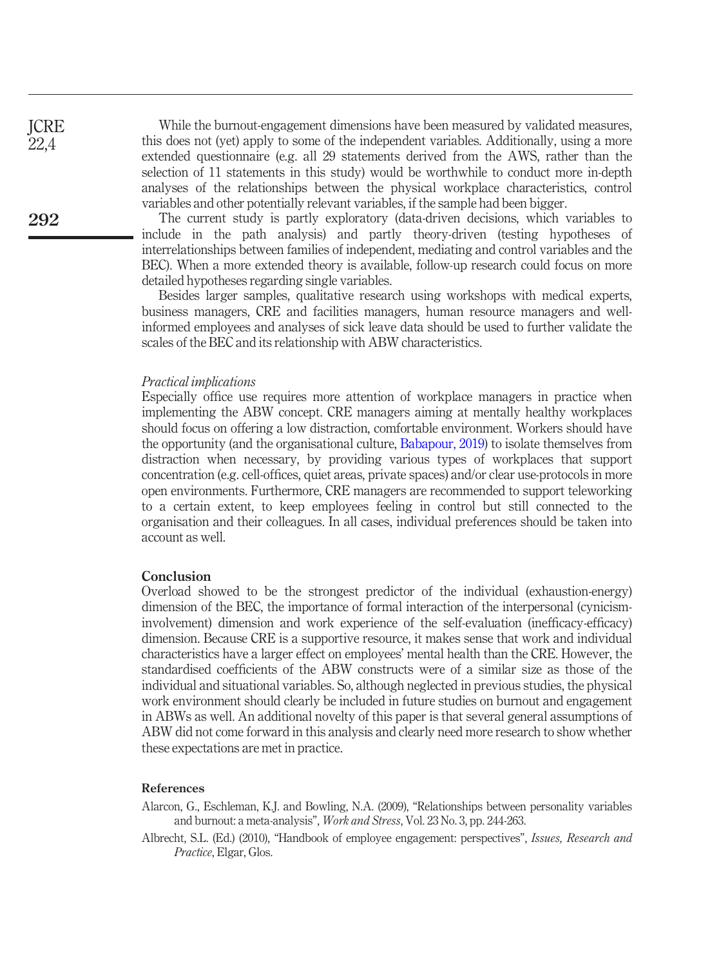While the burnout-engagement dimensions have been measured by validated measures, this does not (yet) apply to some of the independent variables. Additionally, using a more extended questionnaire (e.g. all 29 statements derived from the AWS, rather than the selection of 11 statements in this study) would be worthwhile to conduct more in-depth analyses of the relationships between the physical workplace characteristics, control variables and other potentially relevant variables, if the sample had been bigger.

The current study is partly exploratory (data-driven decisions, which variables to include in the path analysis) and partly theory-driven (testing hypotheses of interrelationships between families of independent, mediating and control variables and the BEC). When a more extended theory is available, follow-up research could focus on more detailed hypotheses regarding single variables.

Besides larger samples, qualitative research using workshops with medical experts, business managers, CRE and facilities managers, human resource managers and wellinformed employees and analyses of sick leave data should be used to further validate the scales of the BEC and its relationship with ABW characteristics.

#### Practical implications

Especially office use requires more attention of workplace managers in practice when implementing the ABW concept. CRE managers aiming at mentally healthy workplaces should focus on offering a low distraction, comfortable environment. Workers should have the opportunity (and the organisational culture, [Babapour, 2019](#page-14-16)) to isolate themselves from distraction when necessary, by providing various types of workplaces that support concentration (e.g. cell-offices, quiet areas, private spaces) and/or clear use-protocols in more open environments. Furthermore, CRE managers are recommended to support teleworking to a certain extent, to keep employees feeling in control but still connected to the organisation and their colleagues. In all cases, individual preferences should be taken into account as well.

#### **Conclusion**

Overload showed to be the strongest predictor of the individual (exhaustion-energy) dimension of the BEC, the importance of formal interaction of the interpersonal (cynicisminvolvement) dimension and work experience of the self-evaluation (inefficacy-efficacy) dimension. Because CRE is a supportive resource, it makes sense that work and individual characteristics have a larger effect on employees' mental health than the CRE. However, the standardised coefficients of the ABW constructs were of a similar size as those of the individual and situational variables. So, although neglected in previous studies, the physical work environment should clearly be included in future studies on burnout and engagement in ABWs as well. An additional novelty of this paper is that several general assumptions of ABW did not come forward in this analysis and clearly need more research to show whether these expectations are met in practice.

# References

- <span id="page-13-1"></span>Alarcon, G., Eschleman, K.J. and Bowling, N.A. (2009), "Relationships between personality variables and burnout: a meta-analysis", Work and Stress, Vol. 23 No. 3, pp. 244-263.
- <span id="page-13-0"></span>Albrecht, S.L. (Ed.) (2010), "Handbook of employee engagement: perspectives", Issues, Research and Practice, Elgar, Glos.

292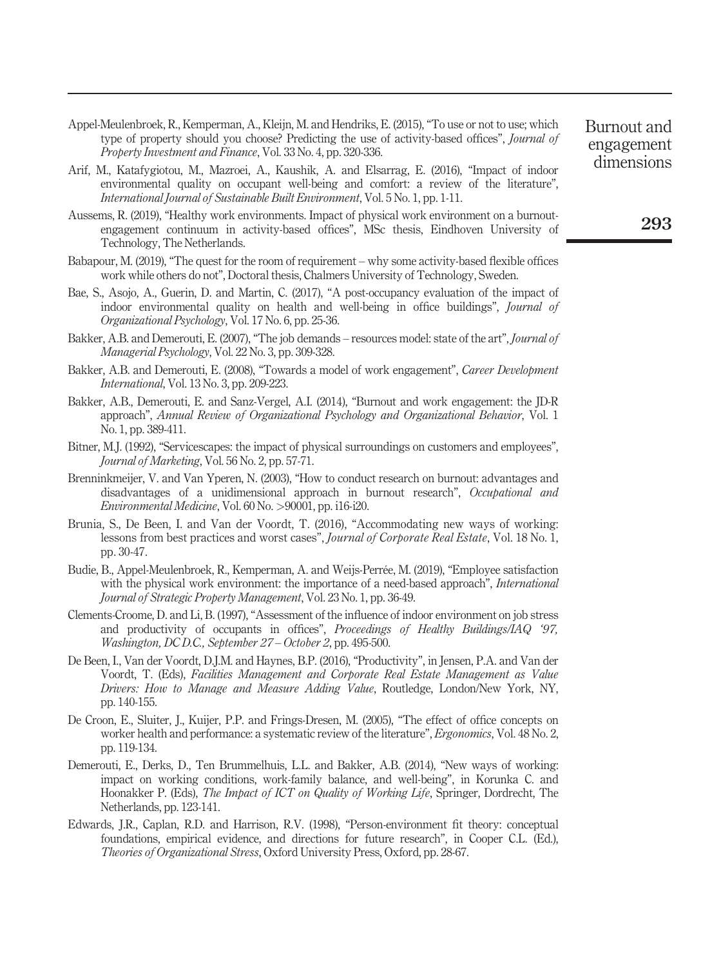- <span id="page-14-10"></span>Appel-Meulenbroek, R., Kemperman, A., Kleijn, M. and Hendriks, E. (2015), "To use or not to use; which type of property should you choose? Predicting the use of activity-based offices", *Journal of* Property Investment and Finance, Vol. 33 No. 4, pp. 320-336.
- <span id="page-14-1"></span>Arif, M., Katafygiotou, M., Mazroei, A., Kaushik, A. and Elsarrag, E. (2016), "Impact of indoor environmental quality on occupant well-being and comfort: a review of the literature", International Journal of Sustainable Built Environment, Vol. 5 No. 1, pp. 1-11.
- <span id="page-14-12"></span>Aussems, R. (2019), "Healthy work environments. Impact of physical work environment on a burnoutengagement continuum in activity-based offices", MSc thesis, Eindhoven University of Technology, The Netherlands.
- <span id="page-14-16"></span>Babapour, M. (2019), "The quest for the room of requirement – why some activity-based flexible offices work while others do not", Doctoral thesis, Chalmers University of Technology, Sweden.
- <span id="page-14-5"></span>Bae, S., Asojo, A., Guerin, D. and Martin, C. (2017), "A post-occupancy evaluation of the impact of indoor environmental quality on health and well-being in office buildings", Journal of Organizational Psychology, Vol. 17 No. 6, pp. 25-36.
- <span id="page-14-15"></span>Bakker, A.B. and Demerouti, E. (2007), "The job demands – resources model: state of the art", *Journal of* Managerial Psychology, Vol. 22 No. 3, pp. 309-328.
- <span id="page-14-2"></span>Bakker, A.B. and Demerouti, E. (2008), "Towards a model of work engagement", Career Development International, Vol. 13 No. 3, pp. 209-223.
- <span id="page-14-7"></span>Bakker, A.B., Demerouti, E. and Sanz-Vergel, A.I. (2014), "Burnout and work engagement: the JD-R approach", Annual Review of Organizational Psychology and Organizational Behavior, Vol. 1 No. 1, pp. 389-411.
- <span id="page-14-13"></span>Bitner, M.J. (1992), "Servicescapes: the impact of physical surroundings on customers and employees", Journal of Marketing, Vol. 56 No. 2, pp. 57-71.
- <span id="page-14-11"></span>Brenninkmeijer, V. and Van Yperen, N. (2003), "How to conduct research on burnout: advantages and disadvantages of a unidimensional approach in burnout research", Occupational and Environmental Medicine, Vol. 60 No. >90001, pp. i16-i20.
- <span id="page-14-3"></span>Brunia, S., De Been, I. and Van der Voordt, T. (2016), "Accommodating new ways of working: lessons from best practices and worst cases", Journal of Corporate Real Estate, Vol. 18 No. 1, pp. 30-47.
- <span id="page-14-14"></span>Budie, B., Appel-Meulenbroek, R., Kemperman, A. and Weijs-Perrée, M. (2019), "Employee satisfaction with the physical work environment: the importance of a need-based approach", International Journal of Strategic Property Management, Vol. 23 No. 1, pp. 36-49.
- <span id="page-14-6"></span>Clements-Croome, D. and Li, B. (1997),"Assessment of the influence of indoor environment on job stress and productivity of occupants in offices", Proceedings of Healthy Buildings/IAQ '97, Washington, DC D.C., September 27 – October 2, pp. 495-500.
- <span id="page-14-9"></span>De Been, I., Van der Voordt, D.J.M. and Haynes, B.P. (2016), "Productivity", in Jensen, P.A. and Van der Voordt, T. (Eds), Facilities Management and Corporate Real Estate Management as Value Drivers: How to Manage and Measure Adding Value, Routledge, London/New York, NY, pp. 140-155.
- <span id="page-14-4"></span>De Croon, E., Sluiter, J., Kuijer, P.P. and Frings-Dresen, M. (2005), "The effect of office concepts on worker health and performance: a systematic review of the literature", Ergonomics, Vol. 48 No. 2, pp. 119-134.
- <span id="page-14-8"></span>Demerouti, E., Derks, D., Ten Brummelhuis, L.L. and Bakker, A.B. (2014), "New ways of working: impact on working conditions, work-family balance, and well-being", in Korunka C. and Hoonakker P. (Eds), The Impact of ICT on Quality of Working Life, Springer, Dordrecht, The Netherlands, pp. 123-141.
- <span id="page-14-0"></span>Edwards, J.R., Caplan, R.D. and Harrison, R.V. (1998), "Person-environment fit theory: conceptual foundations, empirical evidence, and directions for future research", in Cooper C.L. (Ed.), Theories of Organizational Stress, Oxford University Press, Oxford, pp. 28-67.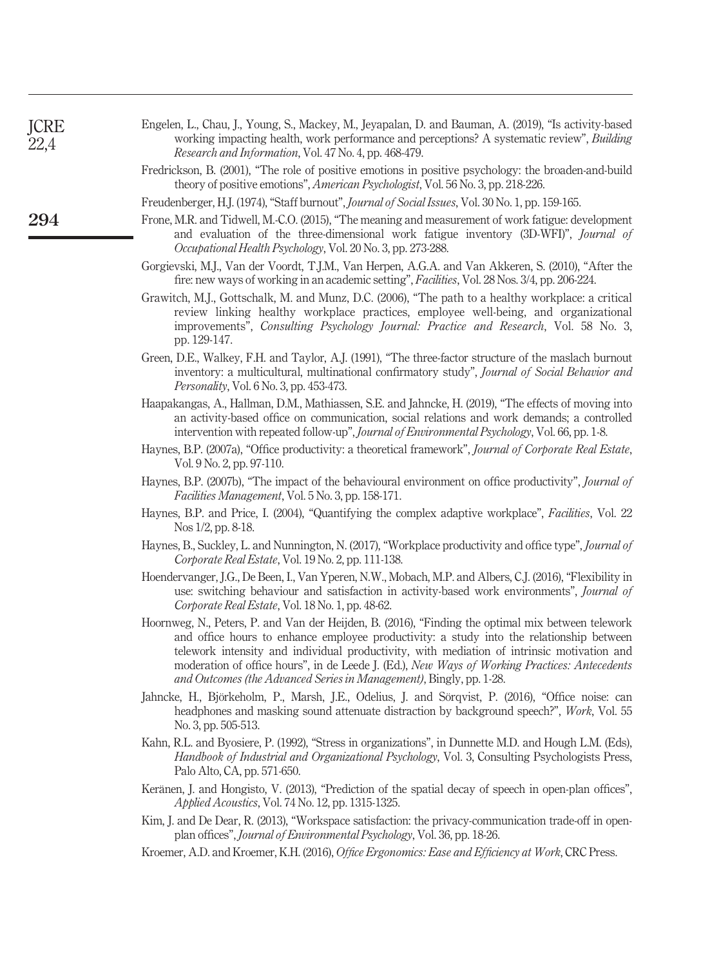<span id="page-15-18"></span><span id="page-15-17"></span><span id="page-15-16"></span><span id="page-15-15"></span><span id="page-15-14"></span><span id="page-15-13"></span><span id="page-15-12"></span><span id="page-15-11"></span><span id="page-15-10"></span><span id="page-15-9"></span><span id="page-15-8"></span><span id="page-15-7"></span><span id="page-15-6"></span><span id="page-15-5"></span><span id="page-15-4"></span><span id="page-15-3"></span><span id="page-15-2"></span><span id="page-15-1"></span><span id="page-15-0"></span>

| <b>JCRE</b><br>22,4 | Engelen, L., Chau, J., Young, S., Mackey, M., Jeyapalan, D. and Bauman, A. (2019), "Is activity-based<br>working impacting health, work performance and perceptions? A systematic review", Building<br>Research and Information, Vol. 47 No. 4, pp. 468-479.                                                                                                                                                                                                         |
|---------------------|----------------------------------------------------------------------------------------------------------------------------------------------------------------------------------------------------------------------------------------------------------------------------------------------------------------------------------------------------------------------------------------------------------------------------------------------------------------------|
|                     | Fredrickson, B. (2001), "The role of positive emotions in positive psychology: the broaden-and-build<br>theory of positive emotions", American Psychologist, Vol. 56 No. 3, pp. 218-226.                                                                                                                                                                                                                                                                             |
|                     | Freudenberger, H.J. (1974), "Staff burnout", Journal of Social Issues, Vol. 30 No. 1, pp. 159-165.                                                                                                                                                                                                                                                                                                                                                                   |
| 294                 | Frone, M.R. and Tidwell, M.-C.O. (2015), "The meaning and measurement of work fatigue: development<br>and evaluation of the three-dimensional work fatigue inventory (3D-WFI)", <i>Journal of</i><br>Occupational Health Psychology, Vol. 20 No. 3, pp. 273-288.                                                                                                                                                                                                     |
|                     | Gorgievski, M.J., Van der Voordt, T.J.M., Van Herpen, A.G.A. and Van Akkeren, S. (2010), "After the<br>fire: new ways of working in an academic setting", <i>Facilities</i> , Vol. 28 Nos. 3/4, pp. 206-224.                                                                                                                                                                                                                                                         |
|                     | Grawitch, M.J., Gottschalk, M. and Munz, D.C. (2006), "The path to a healthy workplace: a critical<br>review linking healthy workplace practices, employee well-being, and organizational<br>improvements", Consulting Psychology Journal: Practice and Research, Vol. 58 No. 3,<br>pp. 129-147.                                                                                                                                                                     |
|                     | Green, D.E., Walkey, F.H. and Taylor, A.J. (1991), "The three-factor structure of the maslach burnout<br>inventory: a multicultural, multinational confirmatory study", Journal of Social Behavior and<br><i>Personality, Vol.</i> 6 No. 3, pp. 453-473.                                                                                                                                                                                                             |
|                     | Haapakangas, A., Hallman, D.M., Mathiassen, S.E. and Jahncke, H. (2019), "The effects of moving into<br>an activity-based office on communication, social relations and work demands; a controlled<br>intervention with repeated follow-up", <i>Journal of Environmental Psychology</i> , Vol. 66, pp. 1-8.                                                                                                                                                          |
|                     | Haynes, B.P. (2007a), "Office productivity: a theoretical framework", Journal of Corporate Real Estate,<br>Vol. 9 No. 2, pp. 97-110.                                                                                                                                                                                                                                                                                                                                 |
|                     | Haynes, B.P. (2007b), "The impact of the behavioural environment on office productivity", Journal of<br>Facilities Management, Vol. 5 No. 3, pp. 158-171.                                                                                                                                                                                                                                                                                                            |
|                     | Haynes, B.P. and Price, I. (2004), "Quantifying the complex adaptive workplace", Facilities, Vol. 22<br>Nos 1/2, pp. 8-18.                                                                                                                                                                                                                                                                                                                                           |
|                     | Haynes, B., Suckley, L. and Nunnington, N. (2017), "Workplace productivity and office type", <i>Journal of</i><br>Corporate Real Estate, Vol. 19 No. 2, pp. 111-138.                                                                                                                                                                                                                                                                                                 |
|                     | Hoendervanger, J.G., De Been, I., Van Yperen, N.W., Mobach, M.P. and Albers, C.J. (2016), "Flexibility in<br>use: switching behaviour and satisfaction in activity-based work environments", Journal of<br>Corporate Real Estate, Vol. 18 No. 1, pp. 48-62.                                                                                                                                                                                                          |
|                     | Hoornweg, N., Peters, P. and Van der Heijden, B. (2016), "Finding the optimal mix between telework<br>and office hours to enhance employee productivity: a study into the relationship between<br>telework intensity and individual productivity, with mediation of intrinsic motivation and<br>moderation of office hours", in de Leede J. (Ed.), New Ways of Working Practices: Antecedents<br>and Outcomes (the Advanced Series in Management), Bingly, pp. 1-28. |
|                     | Jahncke, H., Björkeholm, P., Marsh, J.E., Odelius, J. and Sörqvist, P. (2016), "Office noise: can<br>headphones and masking sound attenuate distraction by background speech?", Work, Vol. 55<br>No. 3, pp. 505-513.                                                                                                                                                                                                                                                 |
|                     | Kahn, R.L. and Byosiere, P. (1992), "Stress in organizations", in Dunnette M.D. and Hough L.M. (Eds),<br>Handbook of Industrial and Organizational Psychology, Vol. 3, Consulting Psychologists Press,<br>Palo Alto, CA, pp. 571-650.                                                                                                                                                                                                                                |
|                     | Keränen, J. and Hongisto, V. (2013), "Prediction of the spatial decay of speech in open-plan offices",<br>Applied Acoustics, Vol. 74 No. 12, pp. 1315-1325.                                                                                                                                                                                                                                                                                                          |
|                     | Kim, J. and De Dear, R. (2013), "Workspace satisfaction: the privacy-communication trade-off in open-<br>plan offices", Journal of Environmental Psychology, Vol. 36, pp. 18-26.                                                                                                                                                                                                                                                                                     |
|                     | Kroemer, A.D. and Kroemer, K.H. (2016), Office Ergonomics: Ease and Efficiency at Work, CRC Press.                                                                                                                                                                                                                                                                                                                                                                   |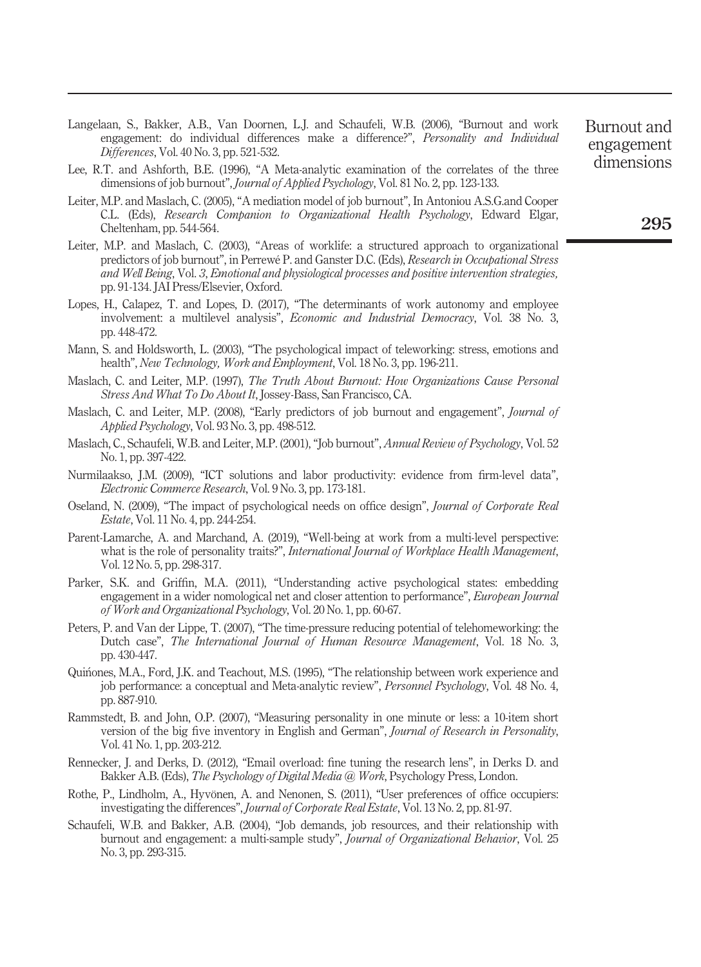- <span id="page-16-17"></span>Langelaan, S., Bakker, A.B., Van Doornen, L.J. and Schaufeli, W.B. (2006), "Burnout and work engagement: do individual differences make a difference?", *Personality and Individual* Differences, Vol. 40 No. 3, pp. 521-532.
- <span id="page-16-16"></span>Lee, R.T. and Ashforth, B.E. (1996), "A Meta-analytic examination of the correlates of the three dimensions of job burnout", *Journal of Applied Psychology*, Vol. 81 No. 2, pp. 123-133.
- <span id="page-16-10"></span>Leiter, M.P. and Maslach, C. (2005), "A mediation model of job burnout", In Antoniou A.S.G.and Cooper C.L. (Eds), Research Companion to Organizational Health Psychology, Edward Elgar, Cheltenham, pp. 544-564.
- Leiter, M.P. and Maslach, C. (2003), "Areas of worklife: a structured approach to organizational predictors of job burnout", in Perrewé P. and Ganster D.C. (Eds), Research in Occupational Stress and Well Being, Vol. 3, Emotional and physiological processes and positive intervention strategies, pp. 91-134. JAI Press/Elsevier, Oxford.
- <span id="page-16-15"></span>Lopes, H., Calapez, T. and Lopes, D. (2017), "The determinants of work autonomy and employee involvement: a multilevel analysis", Economic and Industrial Democracy, Vol. 38 No. 3, pp. 448-472.
- <span id="page-16-5"></span>Mann, S. and Holdsworth, L. (2003), "The psychological impact of teleworking: stress, emotions and health", New Technology, Work and Employment, Vol. 18 No. 3, pp. 196-211.
- <span id="page-16-0"></span>Maslach, C. and Leiter, M.P. (1997), The Truth About Burnout: How Organizations Cause Personal Stress And What To Do About It, Jossey-Bass, San Francisco, CA.
- <span id="page-16-1"></span>Maslach, C. and Leiter, M.P. (2008), "Early predictors of job burnout and engagement", *Journal of* Applied Psychology, Vol. 93 No. 3, pp. 498-512.
- <span id="page-16-3"></span>Maslach, C., Schaufeli, W.B. and Leiter, M.P. (2001), "Job burnout", Annual Review of Psychology, Vol. 52 No. 1, pp. 397-422.
- <span id="page-16-7"></span>Nurmilaakso, J.M. (2009), "ICT solutions and labor productivity: evidence from firm-level data", Electronic Commerce Research, Vol. 9 No. 3, pp. 173-181.
- <span id="page-16-12"></span>Oseland, N. (2009), "The impact of psychological needs on office design", *Journal of Corporate Real* Estate, Vol. 11 No. 4, pp. 244-254.
- <span id="page-16-8"></span>Parent-Lamarche, A. and Marchand, A. (2019), "Well-being at work from a multi-level perspective: what is the role of personality traits?", International Journal of Workplace Health Management, Vol. 12 No. 5, pp. 298-317.
- <span id="page-16-2"></span>Parker, S.K. and Griffin, M.A. (2011), "Understanding active psychological states: embedding engagement in a wider nomological net and closer attention to performance", European Journal of Work and Organizational Psychology, Vol. 20 No. 1, pp. 60-67.
- <span id="page-16-4"></span>Peters, P. and Van der Lippe, T. (2007), "The time-pressure reducing potential of telehomeworking: the Dutch case", The International Journal of Human Resource Management, Vol. 18 No. 3, pp. 430-447.
- <span id="page-16-9"></span>Quinones, M.A., Ford, J.K. and Teachout, M.S. (1995), "The relationship between work experience and job performance: a conceptual and Meta-analytic review", Personnel Psychology, Vol. 48 No. 4, pp. 887-910.
- <span id="page-16-14"></span>Rammstedt, B. and John, O.P. (2007), "Measuring personality in one minute or less: a 10-item short version of the big five inventory in English and German", Journal of Research in Personality, Vol. 41 No. 1, pp. 203-212.
- <span id="page-16-6"></span>Rennecker, J. and Derks, D. (2012), "Email overload: fine tuning the research lens", in Derks D. and Bakker A.B. (Eds), The Psychology of Digital Media @ Work, Psychology Press, London.
- <span id="page-16-13"></span>Rothe, P., Lindholm, A., Hyvönen, A. and Nenonen, S. (2011), "User preferences of office occupiers: investigating the differences", Journal of Corporate Real Estate, Vol. 13 No. 2, pp. 81-97.
- <span id="page-16-11"></span>Schaufeli, W.B. and Bakker, A.B. (2004), "Job demands, job resources, and their relationship with burnout and engagement: a multi-sample study", Journal of Organizational Behavior, Vol. 25 No. 3, pp. 293-315.

Burnout and engagement dimensions

295